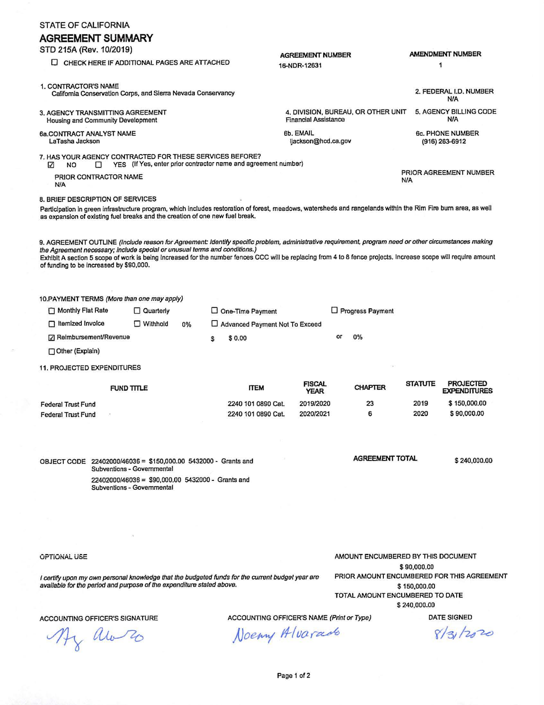| STATE OF CALIFORNIA                                                                                                                                                                                                                            |                                             |                                                                                 |    |    |                                                                                                  |                                         |                              |                                                                                                                                                       |                |                                                                                                                                                                 |  |  |
|------------------------------------------------------------------------------------------------------------------------------------------------------------------------------------------------------------------------------------------------|---------------------------------------------|---------------------------------------------------------------------------------|----|----|--------------------------------------------------------------------------------------------------|-----------------------------------------|------------------------------|-------------------------------------------------------------------------------------------------------------------------------------------------------|----------------|-----------------------------------------------------------------------------------------------------------------------------------------------------------------|--|--|
| <b>AGREEMENT SUMMARY</b><br>STD 215A (Rev. 10/2019)                                                                                                                                                                                            |                                             |                                                                                 |    |    |                                                                                                  |                                         |                              |                                                                                                                                                       |                |                                                                                                                                                                 |  |  |
|                                                                                                                                                                                                                                                | CHECK HERE IF ADDITIONAL PAGES ARE ATTACHED |                                                                                 |    |    |                                                                                                  | <b>AGREEMENT NUMBER</b><br>16-NDR-12631 |                              |                                                                                                                                                       |                | <b>AMENDMENT NUMBER</b><br>1                                                                                                                                    |  |  |
| 1. CONTRACTOR'S NAME<br>California Conservation Corps, and Sierra Nevada Conservancy                                                                                                                                                           |                                             |                                                                                 |    |    |                                                                                                  |                                         |                              |                                                                                                                                                       |                | 2. FEDERAL I.D. NUMBER<br><b>N/A</b>                                                                                                                            |  |  |
| 3. AGENCY TRANSMITTING AGREEMENT<br>Housing and Community Development                                                                                                                                                                          |                                             |                                                                                 |    |    |                                                                                                  |                                         | <b>Financial Assistance</b>  | 4. DIVISION, BUREAU, OR OTHER UNIT                                                                                                                    |                | 5. AGENCY BILLING CODE<br><b>N/A</b>                                                                                                                            |  |  |
| 6a.CONTRACT ANALYST NAME<br>LaTasha Jackson                                                                                                                                                                                                    |                                             |                                                                                 |    |    |                                                                                                  | 6b. EMAIL<br>ljackson@hcd.ca.gov        |                              |                                                                                                                                                       |                | <b>6c. PHONE NUMBER</b><br>$(916)$ 263-6912                                                                                                                     |  |  |
| 7. HAS YOUR AGENCY CONTRACTED FOR THESE SERVICES BEFORE?<br>☑<br>NO                                                                                                                                                                            | □                                           |                                                                                 |    |    |                                                                                                  |                                         |                              |                                                                                                                                                       |                |                                                                                                                                                                 |  |  |
| YES (If Yes, enter prior contractor name and agreement number)<br>PRIOR CONTRACTOR NAME<br><b>N/A</b>                                                                                                                                          |                                             |                                                                                 |    |    |                                                                                                  |                                         |                              |                                                                                                                                                       |                | PRIOR AGREEMENT NUMBER<br>N/A                                                                                                                                   |  |  |
| 8. BRIEF DESCRIPTION OF SERVICES                                                                                                                                                                                                               |                                             |                                                                                 |    |    |                                                                                                  |                                         |                              |                                                                                                                                                       |                |                                                                                                                                                                 |  |  |
| Participation in green infrastructure program, which includes restoration of forest, meadows, watersheds and rangelands within the Rim Fire burn area, as well<br>as expansion of existing fuel breaks and the creation of one new fuel break. |                                             |                                                                                 |    |    |                                                                                                  |                                         |                              |                                                                                                                                                       |                |                                                                                                                                                                 |  |  |
| the Agreement necessary; include special or unusual terms and conditions.)<br>of funding to be increased by \$90,000.                                                                                                                          |                                             |                                                                                 |    |    |                                                                                                  |                                         |                              | 9. AGREEMENT OUTLINE (Include reason for Agreement: Identify specific problem, administrative requirement, program need or other circumstances making |                | Exhibit A section 5 scope of work is being increased for the number fences CCC will be replacing from 4 to 8 fence projects. Increase scope will require amount |  |  |
| 10.PAYMENT TERMS (More than one may apply)                                                                                                                                                                                                     |                                             |                                                                                 |    |    |                                                                                                  |                                         |                              |                                                                                                                                                       |                |                                                                                                                                                                 |  |  |
| Monthly Flat Rate                                                                                                                                                                                                                              |                                             | $\Box$ Quarterly                                                                |    |    | $\Box$ One-Time Payment                                                                          |                                         |                              | $\Box$ Progress Payment                                                                                                                               |                |                                                                                                                                                                 |  |  |
| $\Box$ Itemized Invoice                                                                                                                                                                                                                        |                                             | $\Box$ Withhold                                                                 | 0% |    | □ Advanced Payment Not To Exceed                                                                 |                                         |                              |                                                                                                                                                       |                |                                                                                                                                                                 |  |  |
| <b>□ Reimbursement/Revenue</b>                                                                                                                                                                                                                 |                                             |                                                                                 |    | \$ | \$0.00                                                                                           |                                         | or                           | 0%                                                                                                                                                    |                |                                                                                                                                                                 |  |  |
| Other (Explain)                                                                                                                                                                                                                                |                                             |                                                                                 |    |    |                                                                                                  |                                         |                              |                                                                                                                                                       |                |                                                                                                                                                                 |  |  |
| <b>11. PROJECTED EXPENDITURES</b>                                                                                                                                                                                                              |                                             |                                                                                 |    |    |                                                                                                  |                                         |                              |                                                                                                                                                       |                |                                                                                                                                                                 |  |  |
|                                                                                                                                                                                                                                                | FUND TITLE                                  |                                                                                 |    |    | <b>ITEM</b>                                                                                      |                                         | <b>FISCAL</b><br><b>YEAR</b> | <b>CHAPTER</b>                                                                                                                                        | <b>STATUTE</b> | <b>PROJECTED</b><br><b>EXPENDITURES</b>                                                                                                                         |  |  |
| <b>Federal Trust Fund</b>                                                                                                                                                                                                                      |                                             |                                                                                 |    |    | 2240 101 0890 Cat.                                                                               |                                         | 2019/2020                    | 23                                                                                                                                                    | 2019           | \$150,000.00                                                                                                                                                    |  |  |
| <b>Federal Trust Fund</b>                                                                                                                                                                                                                      |                                             |                                                                                 |    |    | 2240 101 0890 Cat.                                                                               |                                         | 2020/2021                    | 6                                                                                                                                                     | 2020           | \$90,000.00                                                                                                                                                     |  |  |
|                                                                                                                                                                                                                                                |                                             |                                                                                 |    |    |                                                                                                  |                                         |                              |                                                                                                                                                       |                |                                                                                                                                                                 |  |  |
| OBJECT CODE 22402000/46036 = \$150,000.00 5432000 - Grants and                                                                                                                                                                                 |                                             | Subventions - Governmental                                                      |    |    |                                                                                                  |                                         |                              | <b>AGREEMENT TOTAL</b>                                                                                                                                |                | \$240,000.00                                                                                                                                                    |  |  |
|                                                                                                                                                                                                                                                |                                             | 22402000/46036 = \$90,000,00 5432000 - Grants and<br>Subventions - Governmental |    |    |                                                                                                  |                                         |                              |                                                                                                                                                       |                |                                                                                                                                                                 |  |  |
|                                                                                                                                                                                                                                                |                                             |                                                                                 |    |    |                                                                                                  |                                         |                              |                                                                                                                                                       |                |                                                                                                                                                                 |  |  |
|                                                                                                                                                                                                                                                |                                             |                                                                                 |    |    |                                                                                                  |                                         |                              |                                                                                                                                                       |                |                                                                                                                                                                 |  |  |
|                                                                                                                                                                                                                                                |                                             |                                                                                 |    |    |                                                                                                  |                                         |                              |                                                                                                                                                       |                |                                                                                                                                                                 |  |  |
| AMOUNT ENCUMBERED BY THIS DOCUMENT<br><b>OPTIONAL USE</b><br>\$90,000.00                                                                                                                                                                       |                                             |                                                                                 |    |    |                                                                                                  |                                         |                              |                                                                                                                                                       |                |                                                                                                                                                                 |  |  |
|                                                                                                                                                                                                                                                |                                             |                                                                                 |    |    | I certify upon my own personal knowledge that the budgeted funds for the current budget year are |                                         |                              | PRIOR AMOUNT ENCUMBERED FOR THIS AGREEMENT                                                                                                            |                |                                                                                                                                                                 |  |  |
| available for the period and purpose of the expenditure stated above.                                                                                                                                                                          |                                             |                                                                                 |    |    |                                                                                                  |                                         |                              | \$150,000.00<br>TOTAL AMOUNT ENCUMBERED TO DATE<br>\$240,000.00                                                                                       |                |                                                                                                                                                                 |  |  |
| <b>ACCOUNTING OFFICER'S SIGNATURE</b>                                                                                                                                                                                                          |                                             |                                                                                 |    |    | ACCOUNTING OFFICER'S NAME (Print or Type)                                                        |                                         |                              |                                                                                                                                                       |                | <b>DATE SIGNED</b>                                                                                                                                              |  |  |
| ( We Zo                                                                                                                                                                                                                                        |                                             |                                                                                 |    |    |                                                                                                  | Noemy Alvarado                          |                              |                                                                                                                                                       |                | 8/3/2020                                                                                                                                                        |  |  |
|                                                                                                                                                                                                                                                |                                             |                                                                                 |    |    |                                                                                                  |                                         |                              |                                                                                                                                                       |                |                                                                                                                                                                 |  |  |

a)

Page 1 of 2